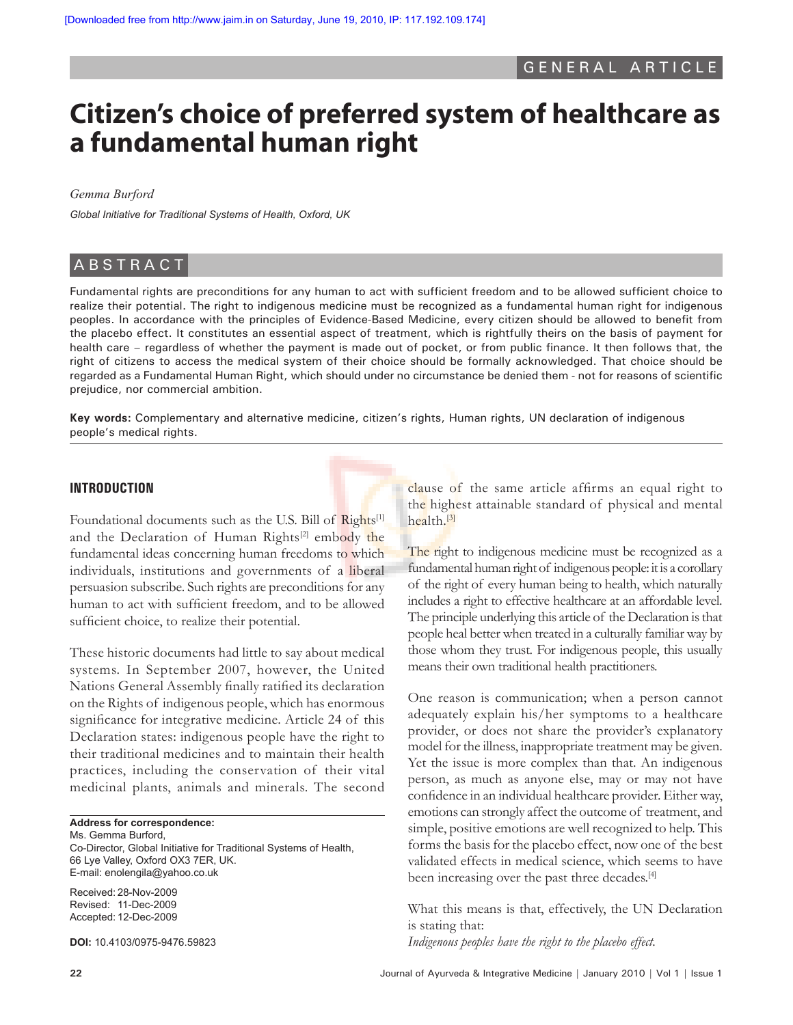# **Citizen's choice of preferred system of healthcare as a fundamental human right**

*Gemma Burford*

*Global Initiative for Traditional Systems of Health, Oxford, UK*

# **ABSTRACT**

Fundamental rights are preconditions for any human to act with sufficient freedom and to be allowed sufficient choice to realize their potential. The right to indigenous medicine must be recognized as a fundamental human right for indigenous peoples. In accordance with the principles of Evidence-Based Medicine, every citizen should be allowed to benefit from the placebo effect. It constitutes an essential aspect of treatment, which is rightfully theirs on the basis of payment for health care – regardless of whether the payment is made out of pocket, or from public finance. It then follows that, the right of citizens to access the medical system of their choice should be formally acknowledged. That choice should be regarded as a Fundamental Human Right, which should under no circumstance be denied them - not for reasons of scientific prejudice, nor commercial ambition.

**Key words:** Complementary and alternative medicine, citizen's rights, Human rights, UN declaration of indigenous people's medical rights.

#### **INTRODUCTION**

Foundational documents such as the U.S. Bill of Rights<sup>[1]</sup> and the Declaration of Human Rights<sup>[2]</sup> embody the fundamental ideas concerning human freedoms to which individuals, institutions and governments of a liberal persuasion subscribe. Such rights are preconditions for any human to act with sufficient freedom, and to be allowed sufficient choice, to realize their potential.

These historic documents had little to say about medical systems. In September 2007, however, the United Nations General Assembly finally ratified its declaration on the Rights of indigenous people, which has enormous significance for integrative medicine. Article 24 of this Declaration states: indigenous people have the right to their traditional medicines and to maintain their health practices, including the conservation of their vital medicinal plants, animals and minerals. The second

#### **Address for correspondence:**

Ms. Gemma Burford, Co-Director, Global Initiative for Traditional Systems of Health, 66 Lye Valley, Oxford OX3 7ER, UK. E-mail: enolengila@yahoo.co.uk

Received: 28-Nov-2009 Revised: 11-Dec-2009 Accepted: 12-Dec-2009

**DOI:** 10.4103/0975-9476.59823

clause of the same article affirms an equal right to the highest attainable standard of physical and mental health.[3]

The right to indigenous medicine must be recognized as a fundamental human right of indigenous people: it is a corollary of the right of every human being to health, which naturally includes a right to effective healthcare at an affordable level. The principle underlying this article of the Declaration is that people heal better when treated in a culturally familiar way by those whom they trust. For indigenous people, this usually means their own traditional health practitioners.

One reason is communication; when a person cannot adequately explain his/her symptoms to a healthcare provider, or does not share the provider's explanatory model for the illness, inappropriate treatment may be given. Yet the issue is more complex than that. An indigenous person, as much as anyone else, may or may not have confidence in an individual healthcare provider. Either way, emotions can strongly affect the outcome of treatment, and simple, positive emotions are well recognized to help. This forms the basis for the placebo effect, now one of the best validated effects in medical science, which seems to have been increasing over the past three decades.<sup>[4]</sup>

What this means is that, effectively, the UN Declaration is stating that: *Indigenous peoples have the right to the placebo effect.*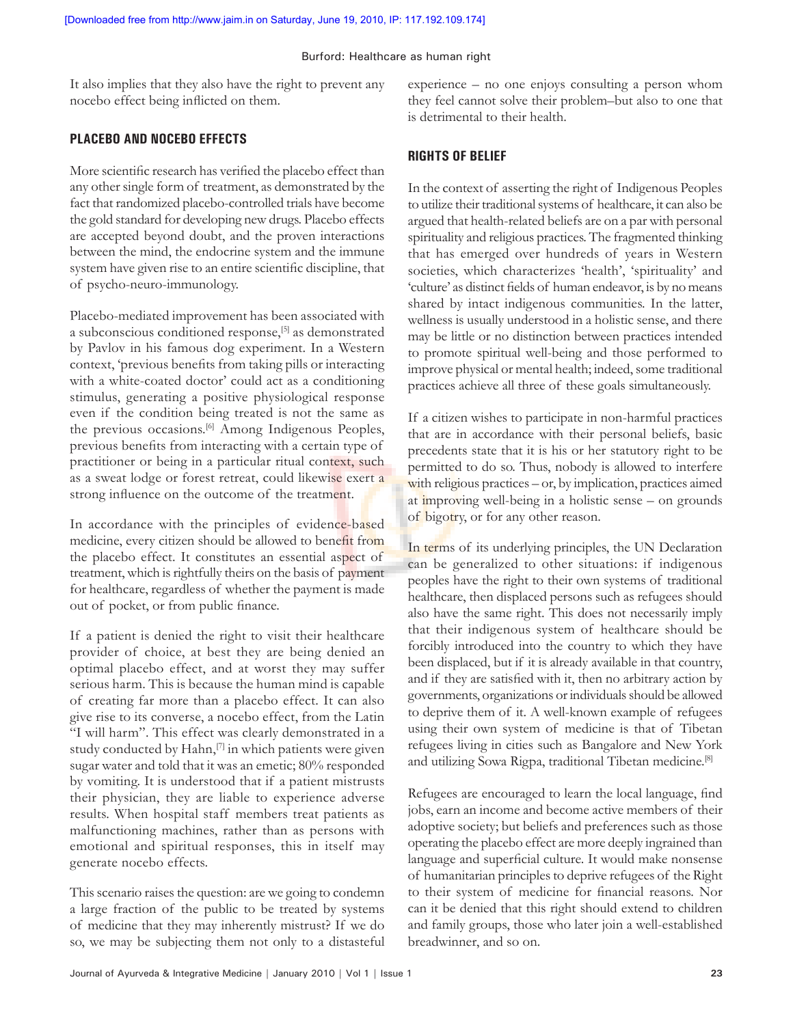#### Burford: Healthcare as human right

It also implies that they also have the right to prevent any nocebo effect being inflicted on them.

### **PLACEBO AND NOCEBO EFFECTS**

More scientific research has verified the placebo effect than any other single form of treatment, as demonstrated by the fact that randomized placebo-controlled trials have become the gold standard for developing new drugs. Placebo effects are accepted beyond doubt, and the proven interactions between the mind, the endocrine system and the immune system have given rise to an entire scientific discipline, that of psycho-neuro-immunology.

Placebo-mediated improvement has been associated with a subconscious conditioned response,[5] as demonstrated by Pavlov in his famous dog experiment. In a Western context, 'previous benefits from taking pills or interacting with a white-coated doctor' could act as a conditioning stimulus, generating a positive physiological response even if the condition being treated is not the same as the previous occasions.[6] Among Indigenous Peoples, previous benefits from interacting with a certain type of practitioner or being in a particular ritual context, such as a sweat lodge or forest retreat, could likewise exert a strong influence on the outcome of the treatment.

In accordance with the principles of evidence-based medicine, every citizen should be allowed to benefit from the placebo effect. It constitutes an essential aspect of treatment, which is rightfully theirs on the basis of payment for healthcare, regardless of whether the payment is made out of pocket, or from public finance.

If a patient is denied the right to visit their healthcare provider of choice, at best they are being denied an optimal placebo effect, and at worst they may suffer serious harm. This is because the human mind is capable of creating far more than a placebo effect. It can also give rise to its converse, a nocebo effect, from the Latin "I will harm". This effect was clearly demonstrated in a study conducted by Hahn,<sup>[7]</sup> in which patients were given sugar water and told that it was an emetic; 80% responded by vomiting. It is understood that if a patient mistrusts their physician, they are liable to experience adverse results. When hospital staff members treat patients as malfunctioning machines, rather than as persons with emotional and spiritual responses, this in itself may generate nocebo effects.

This scenario raises the question: are we going to condemn a large fraction of the public to be treated by systems of medicine that they may inherently mistrust? If we do so, we may be subjecting them not only to a distasteful experience – no one enjoys consulting a person whom they feel cannot solve their problem–but also to one that is detrimental to their health.

## **RIGHTS OF BELIEF**

In the context of asserting the right of Indigenous Peoples to utilize their traditional systems of healthcare, it can also be argued that health-related beliefs are on a par with personal spirituality and religious practices. The fragmented thinking that has emerged over hundreds of years in Western societies, which characterizes 'health', 'spirituality' and 'culture' as distinct fields of human endeavor, is by no means shared by intact indigenous communities. In the latter, wellness is usually understood in a holistic sense, and there may be little or no distinction between practices intended to promote spiritual well-being and those performed to improve physical or mental health; indeed, some traditional practices achieve all three of these goals simultaneously.

If a citizen wishes to participate in non-harmful practices that are in accordance with their personal beliefs, basic precedents state that it is his or her statutory right to be permitted to do so. Thus, nobody is allowed to interfere with religious practices – or, by implication, practices aimed at improving well-being in a holistic sense – on grounds of bigotry, or for any other reason.

In terms of its underlying principles, the UN Declaration can be generalized to other situations: if indigenous peoples have the right to their own systems of traditional healthcare, then displaced persons such as refugees should also have the same right. This does not necessarily imply that their indigenous system of healthcare should be forcibly introduced into the country to which they have been displaced, but if it is already available in that country, and if they are satisfied with it, then no arbitrary action by governments, organizations or individuals should be allowed to deprive them of it. A well-known example of refugees using their own system of medicine is that of Tibetan refugees living in cities such as Bangalore and New York and utilizing Sowa Rigpa, traditional Tibetan medicine.[8]

Refugees are encouraged to learn the local language, find jobs, earn an income and become active members of their adoptive society; but beliefs and preferences such as those operating the placebo effect are more deeply ingrained than language and superficial culture. It would make nonsense of humanitarian principles to deprive refugees of the Right to their system of medicine for financial reasons. Nor can it be denied that this right should extend to children and family groups, those who later join a well-established breadwinner, and so on.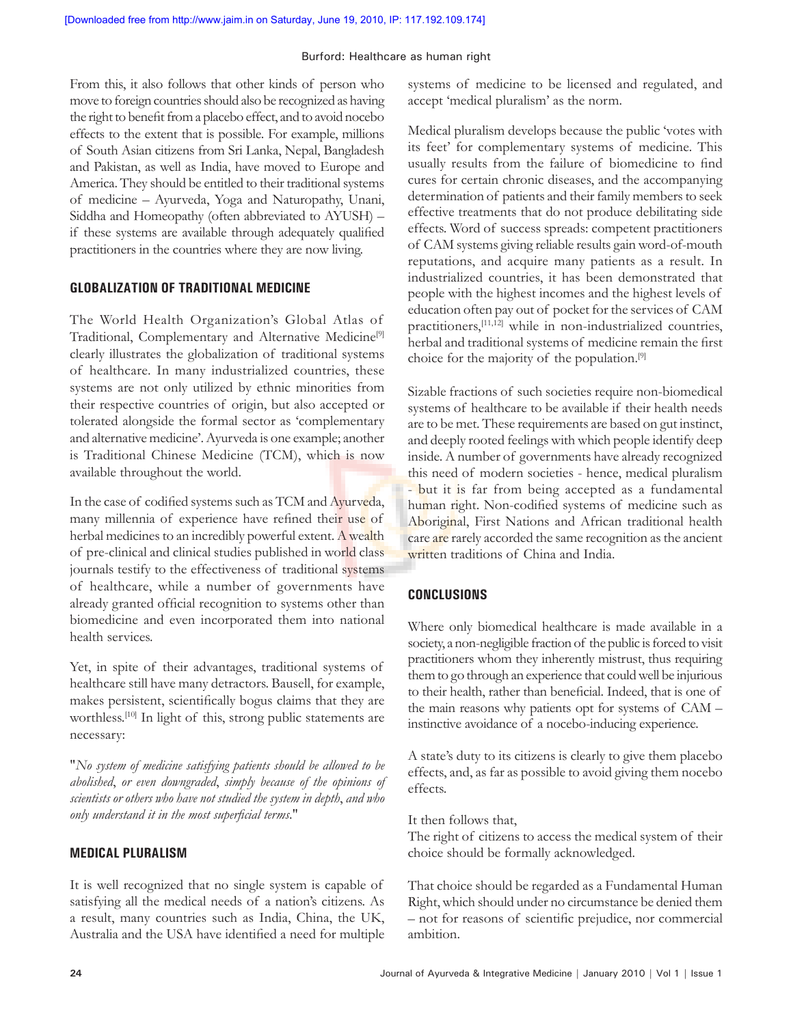#### Burford: Healthcare as human right

From this, it also follows that other kinds of person who move to foreign countries should also be recognized as having the right to benefit from a placebo effect, and to avoid nocebo effects to the extent that is possible. For example, millions of South Asian citizens from Sri Lanka, Nepal, Bangladesh and Pakistan, as well as India, have moved to Europe and America. They should be entitled to their traditional systems of medicine – Ayurveda, Yoga and Naturopathy, Unani, Siddha and Homeopathy (often abbreviated to AYUSH) – if these systems are available through adequately qualified practitioners in the countries where they are now living.

# **GLOBALIZATION OF TRADITIONAL MEDICINE**

The World Health Organization's Global Atlas of Traditional, Complementary and Alternative Medicine<sup>[9]</sup> clearly illustrates the globalization of traditional systems of healthcare. In many industrialized countries, these systems are not only utilized by ethnic minorities from their respective countries of origin, but also accepted or tolerated alongside the formal sector as 'complementary and alternative medicine'. Ayurveda is one example; another is Traditional Chinese Medicine (TCM), which is now available throughout the world.

In the case of codified systems such as TCM and Ayurveda, many millennia of experience have refined their use of herbal medicines to an incredibly powerful extent. A wealth of pre-clinical and clinical studies published in world class journals testify to the effectiveness of traditional systems of healthcare, while a number of governments have already granted official recognition to systems other than biomedicine and even incorporated them into national health services.

Yet, in spite of their advantages, traditional systems of healthcare still have many detractors. Bausell, for example, makes persistent, scientifically bogus claims that they are worthless.<sup>[10]</sup> In light of this, strong public statements are necessary:

"*No system of medicine satisfying patients should be allowed to be abolished*, *or even downgraded*, *simply because of the opinions of scientists or others who have not studied the system in depth*, *and who only understand it in the most superficial terms*."

## **MEDICAL PLURALISM**

It is well recognized that no single system is capable of satisfying all the medical needs of a nation's citizens. As a result, many countries such as India, China, the UK, Australia and the USA have identified a need for multiple systems of medicine to be licensed and regulated, and accept 'medical pluralism' as the norm.

Medical pluralism develops because the public 'votes with its feet' for complementary systems of medicine. This usually results from the failure of biomedicine to find cures for certain chronic diseases, and the accompanying determination of patients and their family members to seek effective treatments that do not produce debilitating side effects. Word of success spreads: competent practitioners of CAM systems giving reliable results gain word-of-mouth reputations, and acquire many patients as a result. In industrialized countries, it has been demonstrated that people with the highest incomes and the highest levels of education often pay out of pocket for the services of CAM practitioners,[11,12] while in non-industrialized countries, herbal and traditional systems of medicine remain the first choice for the majority of the population.[9]

Sizable fractions of such societies require non-biomedical systems of healthcare to be available if their health needs are to be met. These requirements are based on gut instinct, and deeply rooted feelings with which people identify deep inside. A number of governments have already recognized this need of modern societies - hence, medical pluralism - but it is far from being accepted as a fundamental human right. Non-codified systems of medicine such as Aboriginal, First Nations and African traditional health care are rarely accorded the same recognition as the ancient written traditions of China and India.

# **CONCLUSIONS**

Where only biomedical healthcare is made available in a society, a non-negligible fraction of the public is forced to visit practitioners whom they inherently mistrust, thus requiring them to go through an experience that could well be injurious to their health, rather than beneficial. Indeed, that is one of the main reasons why patients opt for systems of CAM – instinctive avoidance of a nocebo-inducing experience.

A state's duty to its citizens is clearly to give them placebo effects, and, as far as possible to avoid giving them nocebo effects.

It then follows that,

The right of citizens to access the medical system of their choice should be formally acknowledged.

That choice should be regarded as a Fundamental Human Right, which should under no circumstance be denied them – not for reasons of scientific prejudice, nor commercial ambition.